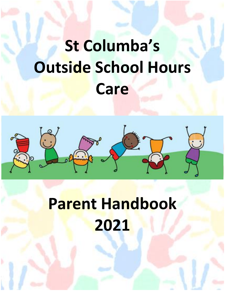# **St Columba's Outside School Hours Care**



## **Parent Handbook 2021**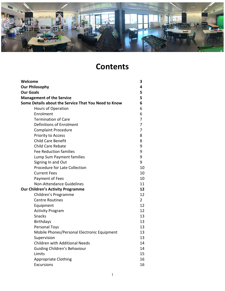

## **Contents**

| Welcome                                              | 3              |
|------------------------------------------------------|----------------|
| <b>Our Philosophy</b>                                | 4              |
| <b>Our Goals</b>                                     | 5              |
| <b>Management of the Service</b>                     | 5              |
| Some Details about the Service That You Need to Know | 6              |
| Hours of Operation                                   | 6              |
| Enrolment                                            | 6              |
| <b>Termination of Care</b>                           | 7              |
| Definitions of Enrolment                             | 7              |
| <b>Complaint Procedure</b>                           | 7              |
| Priority to Access                                   | 8              |
| <b>Child Care Benefit</b>                            | 8              |
| <b>Child Care Rebate</b>                             | 9              |
| <b>Fee Reduction families</b>                        | 9              |
| Lump Sum Payment families                            | 9              |
| Signing In and Out                                   | 9              |
| <b>Procedure for Late Collection</b>                 | 10             |
| <b>Current Fees</b>                                  | 10             |
| Payment of Fees                                      | 10             |
| <b>Non-Attendance Guidelines</b>                     | 11             |
| <b>Our Children's Activity Programme</b>             | 12             |
| Children's Programme                                 | 12             |
| <b>Centre Routines</b>                               | $\overline{2}$ |
| Equipment                                            | 12             |
| <b>Activity Program</b>                              | 12             |
| <b>Snacks</b>                                        | 13             |
| <b>Birthdays</b>                                     | 13             |
| Personal Toys                                        | 13             |
| Mobile Phones/Personal Electronic Equipment          | 13             |
| Supervision                                          | 13             |
| <b>Children with Additional Needs</b>                | 14             |
| <b>Guiding Children's Behaviour</b>                  | 14             |
| Limits                                               | 15             |
| <b>Appropriate Clothing</b>                          | 16             |
| <b>Excursions</b>                                    | 16             |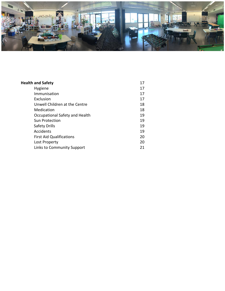

| <b>Health and Safety</b>        | 17 |
|---------------------------------|----|
| Hygiene                         | 17 |
| Immunisation                    | 17 |
| Exclusion                       | 17 |
| Unwell Children at the Centre   | 18 |
| Medication                      | 18 |
| Occupational Safety and Health  | 19 |
| Sun Protection                  | 19 |
| Safety Drills                   | 19 |
| Accidents                       | 19 |
| <b>First Aid Qualifications</b> | 20 |
| Lost Property                   | 20 |
| Links to Community Support      | 21 |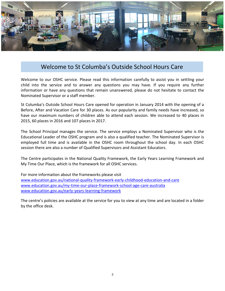

## Welcome to St Columba's Outside School Hours Care

Welcome to our OSHC service. Please read this information carefully to assist you in settling your child into the service and to answer any questions you may have. If you require any further information or have any questions that remain unanswered, please do not hesitate to contact the Nominated Supervisor or a staff member.

St Columba's Outside School Hours Care opened for operation in January 2014 with the opening of a Before, After and Vacation Care for 30 places. As our popularity and family needs have increased, so have our maximum numbers of children able to attend each session. We increased to 40 places in 2015, 60 places in 2016 and 107 places in 2017.

The School Principal manages the service. The service employs a Nominated Supervisor who is the Educational Leader of the OSHC program and is also a qualified teacher. The Nominated Supervisor is employed full time and is available in the OSHC room throughout the school day. In each OSHC session there are also a number of Qualified Supervisors and Assistant Educators.

The Centre participates in the National Quality Framework, the Early Years Learning Framework and My Time Our Place, which is the framework for all OSHC services.

For more information about the frameworks please visit [www.education.gov.au/national-quality-framework-early-childhood-education-and-care](http://www.education.gov.au/national-quality-framework-early-childhood-education-and-care) [www.education.gov.au/my-time-our-place-framework-school-age-care-australia](http://www.education.gov.au/my-time-our-place-framework-school-age-care-australia) [www.education.gov.au/early-years-learning-framework](http://www.education.gov.au/early-years-learning-framework)

The centre's policies are available at the service for you to view at any time and are located in a folder by the office desk.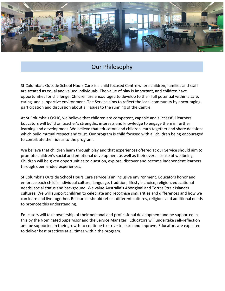

## Our Philosophy

St Columba's Outside School Hours Care is a child focused Centre where children, families and staff are treated as equal and valued individuals. The value of play is important, and children have opportunities for challenge. Children are encouraged to develop to their full potential within a safe, caring, and supportive environment. The Service aims to reflect the local community by encouraging participation and discussion about all issues to the running of the Centre.

At St Columba's OSHC, we believe that children are competent, capable and successful learners. Educators will build on teacher's strengths, interests and knowledge to engage them in further learning and development. We believe that educators and children learn together and share decisions which build mutual respect and trust. Our program is child focused with all children being encouraged to contribute their ideas to the program.

We believe that children learn through play and that experiences offered at our Service should aim to promote children's social and emotional development as well as their overall sense of wellbeing. Children will be given opportunities to question, explore, discover and become independent learners through open ended experiences.

St Columba's Outside School Hours Care service is an inclusive environment. Educators honor and embrace each child's individual culture, language, tradition, lifestyle choice, religion, educational needs, social status and background. We value Australia's Aboriginal and Torres Strait Islander cultures. We will support children to celebrate and recognise similarities and differences and how we can learn and live together. Resources should reflect different cultures, religions and additional needs to promote this understanding.

Educators will take ownership of their personal and professional development and be supported in this by the Nominated Supervisor and the Service Manager. Educators will undertake self-reflection and be supported in their growth to continue to strive to learn and improve. Educators are expected to deliver best practices at all times within the program.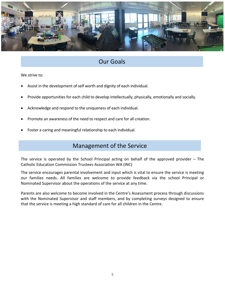

## Our Goals

We strive to:

- Assist in the development of self worth and dignity of each individual.
- Provide opportunities for each child to develop intellectually, physically, emotionally and socially.
- Acknowledge and respond to the uniqueness of each individual.
- Promote an awareness of the need to respect and care for all creation.
- Foster a caring and meaningful relationship to each individual.

## Management of the Service

The service is operated by the School Principal acting on behalf of the approved provider – The Catholic Education Commission Trustees Association WA (INC)

The service encourages parental involvement and input which is vital to ensure the service is meeting our families needs. All families are welcome to provide feedback via the school Principal or Nominated Supervisor about the operations of the service at any time.

Parents are also welcome to become involved in the Centre's Assessment process through discussions with the Nominated Supervisor and staff members, and by completing surveys designed to ensure that the service is meeting a high standard of care for all children in the Centre.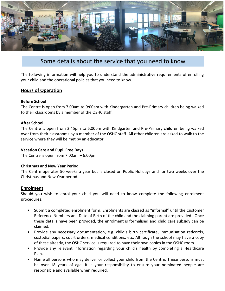

### Some details about the service that you need to know

The following information will help you to understand the administrative requirements of enrolling your child and the operational policies that you need to know.

#### **Hours of Operation**

#### **Before School**

The Centre is open from 7.00am to 9:00am with Kindergarten and Pre-Primary children being walked to their classrooms by a member of the OSHC staff.

#### **After School**

The Centre is open from 2.45pm to 6:00pm with Kindgarten and Pre-Primary children being walked over from their classrooms by a member of the OSHC staff. All other children are asked to walk to the service where they will be met by an educator.

#### **Vacation Care and Pupil Free Days**

The Centre is open from 7.00am – 6:00pm

#### **Christmas and New Year Period**

The Centre operates 50 weeks a year but is closed on Public Holidays and for two weeks over the Christmas and New Year period.

#### **Enrolment**

Should you wish to enrol your child you will need to know complete the following enrolment procedures:

- Submit a completed enrolment form. Enrolments are classed as "informal" until the Customer Reference Numbers and Date of Birth of the child and the claiming parent are provided. Once these details have been provided, the enrolment is formalised and child care subsidy can be claimed.
- Provide any necessary documentation, e.g. child's birth certificate, immunisation redcords, custodial papers, court orders, medical conditions, etc. Although the school may have a copy of these already, the OSHC service is required to have their own copies in the OSHC room.
- Provide any relevant information regarding your child's health by completing a Healthcare Plan.
- Name all persons who may deliver or collect your child from the Centre. These persons must be over 18 years of age. It is your responsibility to ensure your nominated people are responsible and available when required.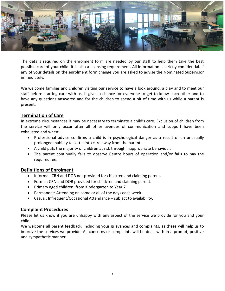

The details required on the enrolment form are needed by our staff to help them take the best possible care of your child. It is also a licensing requirement. All information is strictly confidential. If any of your details on the enrolment form change you are asked to advise the Nominated Supervisor immediately*.*

We welcome families and children visiting our service to have a look around, a play and to meet our staff before starting care with us. It gives a chance for everyone to get to know each other and to have any questions answered and for the children to spend a bit of time with us while a parent is present.

#### **Termination of Care**

In extreme circumstances it may be necessary to terminate a child's care. Exclusion of children from the service will only occur after all other avenues of communication and support have been exhausted and when:

- Professional advice confirms a child is in psychological danger as a result of an unusually prolonged inability to settle into care away from the parent.
- A child puts the majority of children at risk through inappropriate behaviour.
- The parent continually fails to observe Centre hours of operation and/or fails to pay the required fee.

#### **Definitions of Enrolment**

- Informal: CRN and DOB not provided for child/ren and claiming parent.
- Formal: CRN and DOB provided for child/ren and claiming parent.
- Primary aged children: from Kindergarten to Year 7
- Permanent: Attending on some or all of the days each week.
- Casual: Infrequent/Occasional Attendance subject to availability.

#### **Complaint Procedures**

Please let us know if you are unhappy with any aspect of the service we provide for you and your child.

We welcome all parent feedback, including your grievances and complaints, as these will help us to improve the services we provide. All concerns or complaints will be dealt with in a prompt, positive and sympathetic manner.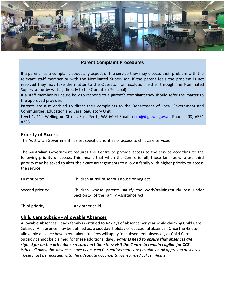

#### **Parent Complaint Procedures**

If a parent has a complaint about any aspect of the service they may discuss their problem with the relevant staff member or with the Nominated Supervisor. If the parent feels the problem is not resolved they may take the matter to the Operator for resolution, either through the Nominated Supervisor or by writing directly to the Operator (Principal).

If a staff member is unsure how to respond to a parent's complaint they should refer the matter to the approved provider.

Parents are also entitled to direct their complaints to the Department of Local Government and Communities, Education and Care Regulatory Unit

Level 1, 111 Wellington Street, East Perth, WA 6004 Email: [ecru@dlgc.wa.gov.au](mailto:ecru@dlgc.wa.gov.au) Phone: (08) 6551 8333

#### **Priority of Access**

The Australian Government has set specific priorities of access to childcare services.

The Australian Government requires the Centre to provide access to the service according to the following priority of access. This means that when the Centre is full, those families who are third priority may be asked to alter their care arrangements to allow a family with higher priority to access the service.

First priority: Children at risk of serious abuse or neglect.

- Second priority: Children whose parents satisfy the work/training/study test under Section 14 of the Family Assistance Act.
- Third priority: Any other child*.*

#### **Child Care Subsidy - Allowable Absences**

Allowable Absences – each family is entitled to 42 days of absence per year while claiming Child Care Subsidy. An absence may be defined as: a sick day, holiday or occasional absence. Once the 42 day allowable absence have been taken, full fees will apply for subsequent absences, as Child Care Subsidy cannot be claimed for these additional days. *Parents need to ensure that absences are signed for on the attendance record next time they visit the Centre to remain eligible for CCS. When all allowable absences have been used CCS entitlements are payable on all approved absences. These must be recorded with the adequate documentation eg. medical certificate.*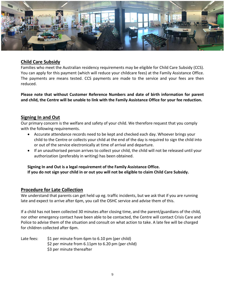

#### **Child Care Subsidy**

Families who meet the Australian residency requirements may be eligible for Child Care Subsidy (CCS). You can apply for this payment (which will reduce your childcare fees) at the Family Assistance Office. The payments are means tested. CCS payments are made to the service and your fees are then reduced.

**Please note that without Customer Reference Numbers and date of birth information for parent and child, the Centre will be unable to link with the Family Assistance Office for your fee reduction.**

#### **Signing In and Out**

Our primary concern is the welfare and safety of your child. We therefore request that you comply with the following requirements.

- Accurate attendance records need to be kept and checked each day. Whoever brings your child to the Centre or collects your child at the end of the day is required to sign the child into or out of the service electronically at time of arrival and departure.
- If an unauthorised person arrives to collect your child, the child will not be released until your authorization (preferably in writing) has been obtained.

**Signing In and Out is a legal requirement of the Family Assistance Office. If you do not sign your child in or out you will not be eligible to claim Child Care Subsidy.**

#### **Procedure for Late Collection**

We understand that parents can get held up eg. traffic incidents, but we ask that if you are running late and expect to arrive after 6pm, you call the OSHC service and advise them of this.

If a child has not been collected 30 minutes after closing time, and the parent/guardians of the child, nor other emergency contact have been able to be contacted, the Centre will contact Crisis Care and Police to advise them of the situation and consult on what action to take. A late fee will be charged for children collected after 6pm.

Late fees:  $\frac{1}{2}$  per minute from 6pm to 6.10 pm (per child) \$2 per minute from 6.11pm to 6.20 pm (per child) \$3 per minute thereafter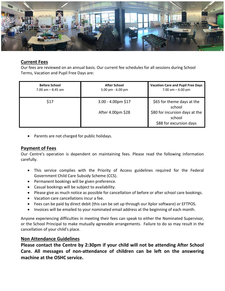

#### **Current Fees**

Our fees are reviewed on an annual basis. Our current fee schedules for all sessions during School Terms, Vacation and Pupil Free Days are:

| <b>Before School</b><br>$7.00$ am $-$ 8.45 am | <b>After School</b><br>$3.00 \text{ pm}$ - 6.00 pm | <b>Vacation Care and Pupil Free Days</b><br>7.00 am $-6.00$ pm      |
|-----------------------------------------------|----------------------------------------------------|---------------------------------------------------------------------|
| \$17                                          | 3.00 - 4.00pm \$17                                 | \$65 for theme days at the<br>school                                |
|                                               | After 4.00pm \$28                                  | \$80 for incursion days at the<br>school<br>\$88 for excursion days |

• Parents are not charged for public holidays.

#### **Payment of Fees**

Our Centre's operation is dependent on maintaining fees. Please read the following information carefully.

- This service complies with the Priority of Access guidelines required for the Federal Government Child Care Subsidy Scheme (CCS).
- Permanent bookings will be given preference.
- Casual bookings will be subject to availability.
- Please give as much notice as possible for cancellation of before or after school care bookings.
- Vacation care cancellations incur a fee.
- Fees can be paid by direct debit (this can be set up through our Xplor software) or EFTPOS.
- Invoices will be emailed to your nominated email address at the beginning of each month.

Anyone experiencing difficulties in meeting their fees can speak to either the Nominated Supervisor, or the School Principal to make mutually agreeable arrangements. Failure to do so may result in the cancellation of your child's place.

#### **Non Attendance Guidelines**

**Please contact the Centre by 2:30pm if your child will not be attending After School Care. All messages of non-attendance of children can be left on the answering machine at the OSHC service.**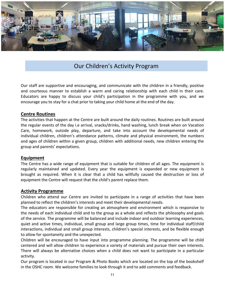

## Our Children's Activity Program

Our staff are supportive and encouraging, and communicate with the children in a friendly, positive and courteous manner to establish a warm and caring relationship with each child in their care. Educators are happy to discuss your child's participation in the programme with you, and we encourage you to stay for a chat prior to taking your child home at the end of the day.

#### **Centre Routines**

The activities that happen at the Centre are built around the daily routines. Routines are built around the regular events of the day i.e arrival, snacks/drinks, hand washing, lunch break when on Vacation Care, homework, outside play, departure, and take into account the developmental needs of individual children, children's attendance patterns, climate and physical environment, the numbers and ages of children within a given group, children with additional needs, new children entering the group and parents' expectations.

#### **Equipment**

The Centre has a wide range of equipment that is suitable for children of all ages. The equipment is regularly maintained and updated. Every year the equipment is expanded or new equipment is brought as required. When it is clear that a child has willfully caused the destruction or loss of equipment the Centre will request that the child's parent replace them.

#### **Activity Programme**

Children who attend our Centre are invited to participate in a range of activities that have been planned to reflect the children's interests and meet their developmental needs.

The educators are responsible for creating an atmosphere and environment which is responsive to the needs of each individual child and to the group as a whole and reflects the philosophy and goals of the service. The programme will be balanced and include indoor and outdoor learning experiences, quiet and active times, individual, small group and large group times, time for individual staff/child interactions, individual and small group interests, children's special interests, and be flexible enough to allow for spontaneity and the unexpected.

Children will be encouraged to have input into programme planning. The programme will be child centered and will allow children to experience a variety of materials and pursue their own interests. There will always be alternative choices when a child does not want to participate in a particular activity.

Our program is located in our Program & Photo Books which are located on the top of the bookshelf in the OSHC room. We welcome families to look through it and to add comments and feedback.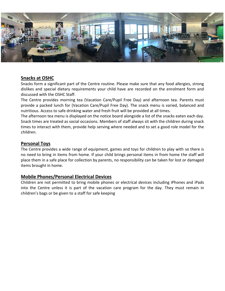

#### **Snacks at OSHC**

Snacks form a significant part of the Centre routine. Please make sure that any food allergies, strong dislikes and special dietary requirements your child have are recorded on the enrolment form and discussed with the OSHC Staff.

The Centre provides morning tea (Vacation Care/Pupil Free Day) and afternoon tea. Parents must provide a packed lunch for (Vacation Care/Pupil Free Day). The snack menu is varied, balanced and nutritious. Access to safe drinking water and fresh fruit will be provided at all times.

The afternoon tea menu is displayed on the notice board alongside a list of the snacks eaten each day. Snack times are treated as social occasions. Members of staff always sit with the children during snack times to interact with them, provide help serving where needed and to set a good role model for the children.

#### **Personal Toys**

The Centre provides a wide range of equipment, games and toys for children to play with so there is no need to bring in items from home. If your child brings personal items in from home the staff will place them in a safe place for collection by parents, no responsibility can be taken for lost or damaged items brought in home.

#### **Mobile Phones/Personal Electrical Devices**

Children are not permitted to bring mobile phones or electrical devices including iPhones and iPads into the Centre unless it is part of the vacation care program for the day. They must remain in children's bags or be given to a staff for safe keeping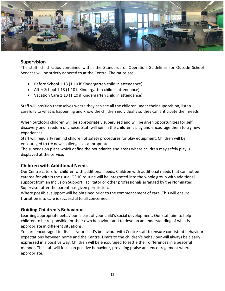

#### **Supervision**

The staff: child ratios contained within the Standards of Operation Guidelines for Outside School Services will be strictly adhered to at the Centre. The ratios are:

- Before School 1:13 (1:10 if Kindergarten child in attendance)
- After School 1:13 (1:10 if Kindergarten child in attendance)
- Vacation Care 1:13 (1:10 if Kindergarten child in attendance)

Staff will position themselves where they can see all the children under their supervision, listen carefully to what is happening and know the children individually so they can anticipate their needs.

When outdoors children will be appropriately supervised and will be given opportunities for self discovery and freedom of choice. Staff will join in the children's play and encourage them to try new experiences.

Staff will regularly remind children of safety procedures for play equipment. Children will be encouraged to try new challenges as appropriate.

The supervision plans which define the boundaries and areas where children may safely play is displayed at the service.

#### **Children with Additional Needs**

Our Centre caters for children with additional needs. Children with additional needs that can not be catered for within the usual OSHC routine will be integrated into the whole group with additional support from an Inclusion Support Facilitator or other professionals arranged by the Nominated Supervisor after the parent has given permission.

Where possible, support will be obtained prior to the commencement of care. This will ensure transition into care is successful to all concerned.

#### **Guiding Children's Behaviour**

Learning appropriate behaviour is part of your child's social development. Our staff aim to help children to be responsible for their own behaviour and to develop an understanding of what is appropriate in different situations.

You are encouraged to discuss your child's behaviour with Centre staff to ensure consistent behaviour expectations between home and the Centre. Limits to the children's behaviour will always be clearly expressed in a positive way. Children will be encouraged to settle their differences in a peaceful manner. The staff will focus on positive behaviour, providing praise and encouragement where appropriate.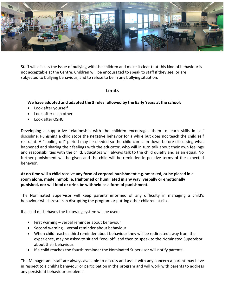

Staff will discuss the issue of bullying with the children and make it clear that this kind of behaviour is not acceptable at the Centre. Children will be encouraged to speak to staff if they see, or are subjected to bullying behaviour, and to refuse to be in any bullying situation.

#### **Limits**

#### **We have adopted and adapted the 3 rules followed by the Early Years at the school:**

- Look after yourself
- Look after each other
- Look after OSHC

Developing a supportive relationship with the children encourages them to learn skills in self discipline. Punishing a child stops the negative behavior for a while but does not teach the child self restraint. A "cooling off" period may be needed so the child can calm down before discussing what happened and sharing their feelings with the educator, who will in turn talk about their own feelings and responsibilities with the child. Educators will always talk to the child quietly and as an equal. No further punishment will be given and the child will be reminded in positive terms of the expected behavior.

#### **At no time will a child receive any form of corporal punishment e.g. smacked, or be placed in a room alone, made immobile, frightened or humiliated in any way, verbally or emotionally punished, nor will food or drink be withheld as a form of punishment.**

The Nominated Supervisor will keep parents informed of any difficulty in managing a child's behaviour which results in disrupting the program or putting other children at risk.

If a child misbehaves the following system will be used;

- First warning verbal reminder about behaviour
- Second warning verbal reminder about behaviour
- When child reaches third reminder about behaviour they will be redirected away from the experience, may be asked to sit and "cool off" and then to speak to the Nominated Supervisor about their behaviour.
- If a child reaches the fourth reminder the Nominated Supervisor will notify parents.

The Manager and staff are always available to discuss and assist with any concern a parent may have in respect to a child's behaviour or participation in the program and will work with parents to address any persistent behaviour problems.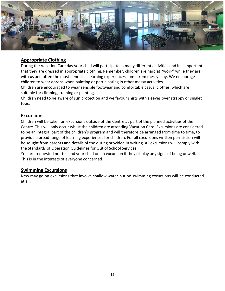

#### **Appropriate Clothing**

During the Vacation Care day your child will participate in many different activities and it is important that they are dressed in appropriate clothing. Remember, children are hard at "work" while they are with us and often the most beneficial learning experiences come from messy play. We encourage children to wear aprons when painting or participating in other messy activities.

Children are encouraged to wear sensible footwear and comfortable casual clothes, which are suitable for climbing, running or painting.

Children need to be aware of sun protection and we favour shirts with sleeves over strappy or singlet tops.

#### **Excursions**

Children will be taken on excursions outside of the Centre as part of the planned activities of the Centre. This will only occur whilst the children are attending Vacation Care. Excursions are considered to be an integral part of the children's program and will therefore be arranged from time to time, to provide a broad range of learning experiences for children. For all excursions written permission will be sought from parents and details of the outing provided in writing. All excursions will comply with the Standards of Operation Guidelines for Out of School Services.

You are requested not to send your child on an excursion if they display any signs of being unwell. This is in the interests of everyone concerned.

#### **Swimming Excursions**

New may go on excursions that involve shallow water but no swimming excursions will be conducted at all.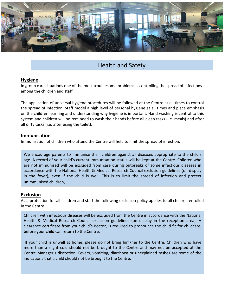

## Health and Safety

#### **Hygiene**

In group care situations one of the most troublesome problems is controlling the spread of infections among the children and staff.

The application of universal hygiene procedures will be followed at the Centre at all times to control the spread of infection. Staff model a high level of personal hygiene at all times and place emphasis on the children learning and understanding why hygiene is important. Hand washing is central to this system and children will be reminded to wash their hands before all clean tasks (i.e. meals) and after all dirty tasks (i.e. after using the toilet).

#### **Immunisation**

Immunisation of children who attend the Centre will help to limit the spread of infection.

We encourage parents to immunise their children against all diseases appropriate to the child's age. A record of your child's current immunisation status will be kept at the Centre. Children who are not immunised will be excluded from care during outbreaks of some infectious diseases in accordance with the National Health & Medical Research Council exclusion guidelines (on display in the foyer), even if the child is well. This is to limit the spread of infection and protect unimmunised children.

#### **Exclusion**

As a protection for all children and staff the following exclusion policy applies to all children enrolled in the Centre.

Children with infectious diseases will be excluded from the Centre in accordance with the National Health & Medical Research Council exclusion guidelines (on display in the reception area). A clearance certificate from your child's doctor, is required to pronounce the child fit for childcare, before your child can return to the Centre.

I centre wantager's discretion: revers, voluming, diarriocally<br>indications that a child should not be brought to the Centre. If your child is unwell at home, please do not bring him/her to the Centre. Children who have more than a slight cold should not be brought to the Centre and may not be accepted at the Centre Manager's discretion. Fevers, vomiting, diarrhoea or unexplained rashes are some of the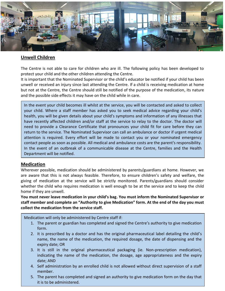

#### **Unwell Children**

The Centre is not able to care for children who are ill. The following policy has been developed to protect your child and the other children attending the Centre.

It is important that the Nominated Supervisor or the child's educator be notified if your child has been unwell or received an injury since last attending the Centre. If a child is receiving medication at home but not at the Centre, the Centre should still be notified of the purpose of the medication, its nature and the possible side effects it may have on the child while in care.

In the event your child becomes ill whilst at the service, you will be contacted and asked to collect your child. Where a staff member has asked you to seek medical advice regarding your child's health, you will be given details about your child's symptoms and information of any illnesses that have recently affected children and/or staff at the service to relay to the doctor. The doctor will need to provide a Clearance Certificate that pronounces your child fit for care before they can return to the service. The Nominated Supervisor can call an ambulance or doctor if urgent medical attention is required. Every effort will be made to contact you or your nominated emergency contact people as soon as possible. All medical and ambulance costs are the parent's responsibility. In the event of an outbreak of a communicable disease at the Centre, families and the Health Department will be notified.

#### **Medication**

Wherever possible, medication should be administered by parents/guardians at home. However, we are aware that this is not always feasible. Therefore, to ensure children's safety and welfare, the giving of medication at the service will be strictly monitored. Parents/guardians should consider whether the child who requires medication is well enough to be at the service and to keep the child home if they are unwell.

**You must never leave medication in your child's bag. You must inform the Nominated Supervisor or staff member and complete an "Authority to give Medication" form. At the end of the day you must collect the medication from the service staff.**

Medication will only be administered by Centre staff if:

- 1. The parent or guardian has completed and signed the Centre's authority to give medication form.
- 2. It is prescribed by a doctor and has the original pharmaceutical label detailing the child's name, the name of the medication, the required dosage, the date of dispensing and the expiry date; OR
- 3. It is still in the original pharmaceutical packaging (ie. Non-prescription medication), indicating the name of the medication, the dosage, age appropriateness and the expiry date; AND
- 4. Self administration by an enrolled child is not allowed without direct supervision of a staff member.
- 17 5. The parent has completed and signed an authority to give medication form on the day that it is to be administered.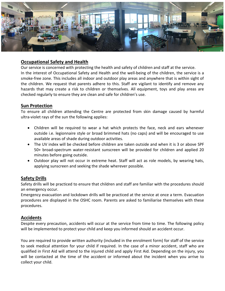

#### **Occupational Safety and Health**

Our service is concerned with protecting the health and safety of children and staff at the service. In the interest of Occupational Safety and Health and the well-being of the children, the service is a smoke-free zone. This includes all indoor and outdoor play areas and anywhere that is within sight of the children. We request that parents adhere to this. Staff are vigilant to identify and remove any hazards that may create a risk to children or themselves. All equipment, toys and play areas are checked regularly to ensure they are clean and safe for children's use*.* 

#### **Sun Protection**

To ensure all children attending the Centre are protected from skin damage caused by harmful ultra-violet rays of the sun the following applies:

- Children will be required to wear a hat which protects the face, neck and ears whenever outside i.e. legionnaire style or broad brimmed hats (no caps) and will be encouraged to use available areas of shade during outdoor activities.
- The UV index will be checked before children are taken outside and when it is 3 or above SPF 50+ broad-spectrum water-resistant sunscreen will be provided for children and applied 20 minutes before going outside.
- Outdoor play will not occur in extreme heat. Staff will act as role models, by wearing hats, applying sunscreen and seeking the shade wherever possible.

#### **Safety Drills**

Safety drills will be practiced to ensure that children and staff are familiar with the procedures should an emergency occur.

Emergency evacuation and lockdown drills will be practiced at the service at once a term. Evacuation procedures are displayed in the OSHC room. Parents are asked to familiarise themselves with these procedures.

#### **Accidents**

Despite every precaution, accidents will occur at the service from time to time. The following policy will be implemented to protect your child and keep you informed should an accident occur.

You are required to provide written authority (included in the enrolment form) for staff of the service to seek medical attention for your child if required. In the case of a minor accident, staff who are qualified in First Aid will attend to the injured child and apply First Aid. Depending on the injury, you will be contacted at the time of the accident or informed about the incident when you arrive to collect your child.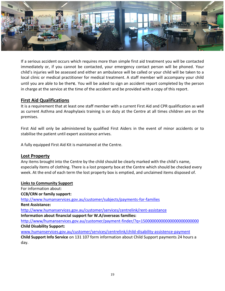

If a serious accident occurs which requires more than simple first aid treatment you will be contacted immediately or, if you cannot be contacted, your emergency contact person will be phoned. Your child's injuries will be assessed and either an ambulance will be called or your child will be taken to a local clinic or medical practitioner for medical treatment. A staff member will accompany your child until you are able to be there. You will be asked to sign an accident report completed by the person in charge at the service at the time of the accident and be provided with a copy of this report.

#### **First Aid Qualifications**

It is a requirement that at least one staff member with a current First Aid and CPR qualification as well as current Asthma and Anaphylaxis training is on duty at the Centre at all times children are on the premises.

First Aid will only be administered by qualified First Aiders in the event of minor accidents or to stabilise the patient until expert assistance arrives.

A fully equipped First Aid Kit is maintained at the Centre.

#### **Lost Property**

Any items brought into the Centre by the child should be clearly marked with the child's name, especially items of clothing. There is a lost property box at the Centre which should be checked every week. At the end of each term the lost property box is emptied, and unclaimed items disposed of.

#### **Links to Community Support**

For information about: **CCB/CRN or family support:** <http://www.humanservices.gov.au/customer/subjects/payments-for-families>

**Rent Assistance:**

<http://www.humanservices.gov.au/customer/services/centrelink/rent-assistance> **Information about financial support for W.A/overseas families:**

<http://www/humanservices.gov.au/customer/payment-finder/?q=15000000000000000000000000> **Child Disability Support:**

[www.humanservices.gov.au/customer/services/centrelink/child-disability-assistence-payment](http://www.humanservices.gov.au/customer/services/centrelink/child-disability-assistence-payment) **Child Support Info Service** on 131 107 form information about Child Support payments 24 hours a day.